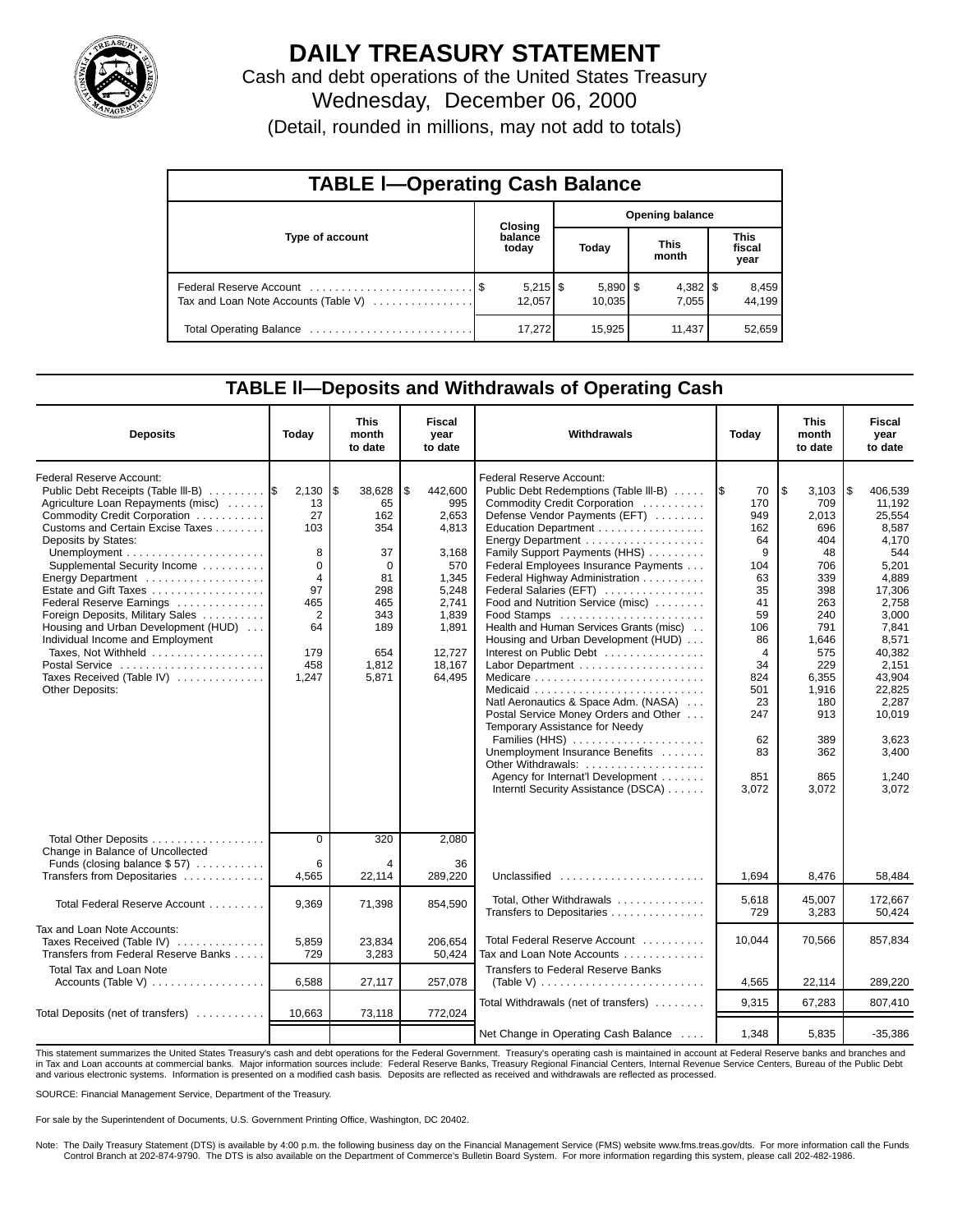

# **DAILY TREASURY STATEMENT**

Cash and debt operations of the United States Treasury Wednesday, December 06, 2000

| (Detail, rounded in millions, may not add to totals) |  |  |  |  |
|------------------------------------------------------|--|--|--|--|
|------------------------------------------------------|--|--|--|--|

| <b>TABLE I-Operating Cash Balance</b> |  |                                 |                        |                        |  |                       |  |                               |  |  |  |  |
|---------------------------------------|--|---------------------------------|------------------------|------------------------|--|-----------------------|--|-------------------------------|--|--|--|--|
|                                       |  | <b>Closing</b>                  | <b>Opening balance</b> |                        |  |                       |  |                               |  |  |  |  |
| Type of account                       |  | balance<br>today                |                        | Today                  |  | <b>This</b><br>month  |  | <b>This</b><br>fiscal<br>year |  |  |  |  |
| Tax and Loan Note Accounts (Table V)  |  | $5,215$ $\frac{1}{3}$<br>12.057 |                        | $5,890$ \ \$<br>10.035 |  | $4,382$   \$<br>7.055 |  | 8,459<br>44,199               |  |  |  |  |
| Total Operating Balance               |  | 17.272                          |                        | 15,925                 |  | 11.437                |  | 52,659                        |  |  |  |  |

## **TABLE ll—Deposits and Withdrawals of Operating Cash**

| <b>Deposits</b>                                                                                                                                                                                                                                                                                                                                                                                                                                                                                                                                                                     | Today                                                                                         | <b>This</b><br>month<br>to date                                                                                | <b>Fiscal</b><br>year<br>to date                                                                                                  | Withdrawals                                                                                                                                                                                                                                                                                                                                                                                                                                                                                                                                                                                                                                                                                                                                                            | Today                                                                                                                                                   | <b>This</b><br>month<br>to date                                                                                                                                                  | Fiscal<br>year<br>to date                                                                                                                                                                                                 |
|-------------------------------------------------------------------------------------------------------------------------------------------------------------------------------------------------------------------------------------------------------------------------------------------------------------------------------------------------------------------------------------------------------------------------------------------------------------------------------------------------------------------------------------------------------------------------------------|-----------------------------------------------------------------------------------------------|----------------------------------------------------------------------------------------------------------------|-----------------------------------------------------------------------------------------------------------------------------------|------------------------------------------------------------------------------------------------------------------------------------------------------------------------------------------------------------------------------------------------------------------------------------------------------------------------------------------------------------------------------------------------------------------------------------------------------------------------------------------------------------------------------------------------------------------------------------------------------------------------------------------------------------------------------------------------------------------------------------------------------------------------|---------------------------------------------------------------------------------------------------------------------------------------------------------|----------------------------------------------------------------------------------------------------------------------------------------------------------------------------------|---------------------------------------------------------------------------------------------------------------------------------------------------------------------------------------------------------------------------|
| <b>Federal Reserve Account:</b><br>Public Debt Receipts (Table III-B)<br>Agriculture Loan Repayments (misc)<br>Commodity Credit Corporation<br>Customs and Certain Excise Taxes<br>Deposits by States:<br>Unemployment $\dots\dots\dots\dots\dots\dots\dots\dots$<br>Supplemental Security Income<br>Energy Department<br>Estate and Gift Taxes<br>Federal Reserve Earnings<br>Foreign Deposits, Military Sales<br>Housing and Urban Development (HUD)<br>Individual Income and Employment<br>Taxes, Not Withheld<br>Postal Service<br>Taxes Received (Table IV)<br>Other Deposits: | 2,130<br>13<br>27<br>103<br>8<br>$\Omega$<br>4<br>97<br>465<br>2<br>64<br>179<br>458<br>1,247 | l\$<br>38,628<br>65<br>162<br>354<br>37<br>$\Omega$<br>81<br>298<br>465<br>343<br>189<br>654<br>1,812<br>5,871 | \$<br>442,600<br>995<br>2,653<br>4,813<br>3.168<br>570<br>1.345<br>5,248<br>2.741<br>1,839<br>1,891<br>12,727<br>18,167<br>64,495 | <b>Federal Reserve Account:</b><br>Public Debt Redemptions (Table III-B)<br>Commodity Credit Corporation<br>Defense Vendor Payments (EFT)<br>Education Department<br>Energy Department<br>Family Support Payments (HHS)<br>Federal Employees Insurance Payments<br>Federal Highway Administration<br>Federal Salaries (EFT)<br>Food and Nutrition Service (misc)<br>Food Stamps<br>Health and Human Services Grants (misc)<br>Housing and Urban Development (HUD)<br>Interest on Public Debt<br>Natl Aeronautics & Space Adm. (NASA)<br>Postal Service Money Orders and Other<br>Temporary Assistance for Needy<br>Families (HHS)<br>Unemployment Insurance Benefits<br>Other Withdrawals:<br>Agency for Internat'l Development<br>Interntl Security Assistance (DSCA) | 1\$<br>70<br>170<br>949<br>162<br>64<br>9<br>104<br>63<br>35<br>41<br>59<br>106<br>86<br>4<br>34<br>824<br>501<br>23<br>247<br>62<br>83<br>851<br>3,072 | l \$<br>3,103<br>709<br>2,013<br>696<br>404<br>48<br>706<br>339<br>398<br>263<br>240<br>791<br>1,646<br>575<br>229<br>6,355<br>1,916<br>180<br>913<br>389<br>362<br>865<br>3,072 | 406,539<br>1\$<br>11,192<br>25,554<br>8,587<br>4,170<br>544<br>5,201<br>4.889<br>17,306<br>2.758<br>3,000<br>7,841<br>8,571<br>40,382<br>2,151<br>43,904<br>22.825<br>2,287<br>10,019<br>3,623<br>3,400<br>1,240<br>3.072 |
| Total Other Deposits<br>Change in Balance of Uncollected<br>Funds (closing balance $$57$ )<br>Transfers from Depositaries                                                                                                                                                                                                                                                                                                                                                                                                                                                           | $\mathbf 0$<br>6<br>4,565                                                                     | 320<br>4<br>22,114                                                                                             | 2,080<br>36<br>289,220                                                                                                            | Unclassified                                                                                                                                                                                                                                                                                                                                                                                                                                                                                                                                                                                                                                                                                                                                                           | 1,694                                                                                                                                                   | 8,476                                                                                                                                                                            | 58,484                                                                                                                                                                                                                    |
| Total Federal Reserve Account                                                                                                                                                                                                                                                                                                                                                                                                                                                                                                                                                       | 9.369                                                                                         | 71,398                                                                                                         | 854,590                                                                                                                           | Total, Other Withdrawals<br>Transfers to Depositaries                                                                                                                                                                                                                                                                                                                                                                                                                                                                                                                                                                                                                                                                                                                  | 5,618<br>729                                                                                                                                            | 45.007<br>3,283                                                                                                                                                                  | 172,667<br>50.424                                                                                                                                                                                                         |
| Tax and Loan Note Accounts:<br>Taxes Received (Table IV)<br>Transfers from Federal Reserve Banks                                                                                                                                                                                                                                                                                                                                                                                                                                                                                    | 5,859<br>729                                                                                  | 23,834<br>3,283                                                                                                | 206,654<br>50,424                                                                                                                 | Total Federal Reserve Account<br>Tax and Loan Note Accounts                                                                                                                                                                                                                                                                                                                                                                                                                                                                                                                                                                                                                                                                                                            | 10,044                                                                                                                                                  | 70,566                                                                                                                                                                           | 857,834                                                                                                                                                                                                                   |
| Total Tax and Loan Note<br>Accounts (Table V) $\ldots$                                                                                                                                                                                                                                                                                                                                                                                                                                                                                                                              | 6,588                                                                                         | 27,117                                                                                                         | 257,078                                                                                                                           | <b>Transfers to Federal Reserve Banks</b><br>(Table V) $\ldots \ldots \ldots \ldots \ldots \ldots \ldots \ldots$                                                                                                                                                                                                                                                                                                                                                                                                                                                                                                                                                                                                                                                       | 4,565                                                                                                                                                   | 22,114                                                                                                                                                                           | 289,220                                                                                                                                                                                                                   |
| Total Deposits (net of transfers)                                                                                                                                                                                                                                                                                                                                                                                                                                                                                                                                                   | 10,663                                                                                        | 73,118                                                                                                         | 772,024                                                                                                                           | Total Withdrawals (net of transfers)                                                                                                                                                                                                                                                                                                                                                                                                                                                                                                                                                                                                                                                                                                                                   | 9,315                                                                                                                                                   | 67,283                                                                                                                                                                           | 807,410                                                                                                                                                                                                                   |
|                                                                                                                                                                                                                                                                                                                                                                                                                                                                                                                                                                                     |                                                                                               |                                                                                                                |                                                                                                                                   | Net Change in Operating Cash Balance                                                                                                                                                                                                                                                                                                                                                                                                                                                                                                                                                                                                                                                                                                                                   | 1,348                                                                                                                                                   | 5,835                                                                                                                                                                            | $-35,386$                                                                                                                                                                                                                 |

This statement summarizes the United States Treasury's cash and debt operations for the Federal Government. Treasury's operating cash is maintained in account at Federal Reserve banks and branches and<br>in Tax and Loan accou and various electronic systems. Information is presented on a modified cash basis. Deposits are reflected as received and withdrawals are reflected as processed.

SOURCE: Financial Management Service, Department of the Treasury.

For sale by the Superintendent of Documents, U.S. Government Printing Office, Washington, DC 20402.

Note: The Daily Treasury Statement (DTS) is available by 4:00 p.m. the following business day on the Financial Management Service (FMS) website www.fms.treas.gov/dts. For more information call the Funds Control Branch at 202-874-9790. The DTS is also available on the Department of Commerce's Bulletin Board System. For more information regarding this system, please call 202-482-1986.